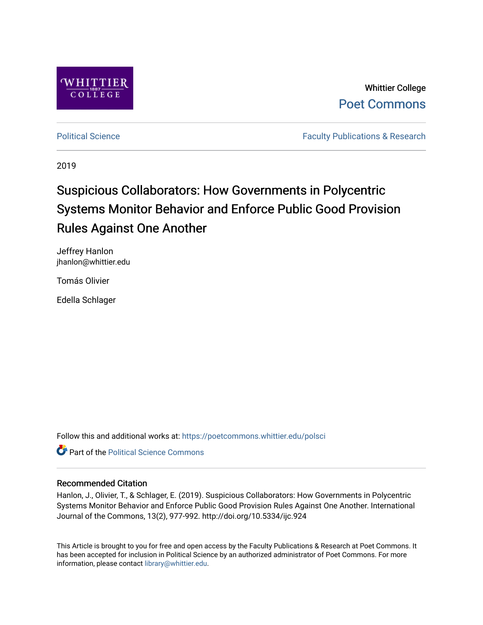

Whittier College [Poet Commons](https://poetcommons.whittier.edu/) 

[Political Science](https://poetcommons.whittier.edu/polsci) **Faculty Publications & Research Faculty Publications & Research** 

2019

# Suspicious Collaborators: How Governments in Polycentric Systems Monitor Behavior and Enforce Public Good Provision Rules Against One Another

Jeffrey Hanlon jhanlon@whittier.edu

Tomás Olivier

Edella Schlager

Follow this and additional works at: [https://poetcommons.whittier.edu/polsci](https://poetcommons.whittier.edu/polsci?utm_source=poetcommons.whittier.edu%2Fpolsci%2F1&utm_medium=PDF&utm_campaign=PDFCoverPages) 

**C** Part of the Political Science Commons

# Recommended Citation

Hanlon, J., Olivier, T., & Schlager, E. (2019). Suspicious Collaborators: How Governments in Polycentric Systems Monitor Behavior and Enforce Public Good Provision Rules Against One Another. International Journal of the Commons, 13(2), 977-992. http://doi.org/10.5334/ijc.924

This Article is brought to you for free and open access by the Faculty Publications & Research at Poet Commons. It has been accepted for inclusion in Political Science by an authorized administrator of Poet Commons. For more information, please contact [library@whittier.edu.](mailto:library@whittier.edu)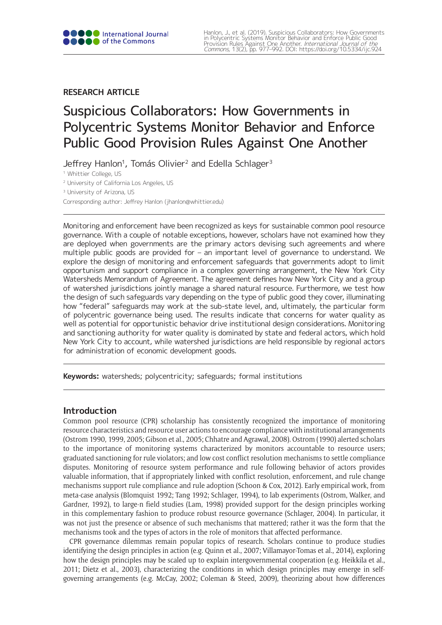# **RESEARCH ARTICLE**

# Suspicious Collaborators: How Governments in Polycentric Systems Monitor Behavior and Enforce Public Good Provision Rules Against One Another

Jeffrey Hanlon<sup>1</sup>, Tomás Olivier<sup>2</sup> and Edella Schlager<sup>3</sup>

<sup>1</sup> Whittier College, US

<sup>2</sup> University of California Los Angeles, US

<sup>3</sup> University of Arizona, US

Corresponding author: Jeffrey Hanlon ([jhanlon@whittier.edu\)](mailto:jhanlon@whittier.edu)

Monitoring and enforcement have been recognized as keys for sustainable common pool resource governance. With a couple of notable exceptions, however, scholars have not examined how they are deployed when governments are the primary actors devising such agreements and where multiple public goods are provided for – an important level of governance to understand. We explore the design of monitoring and enforcement safeguards that governments adopt to limit opportunism and support compliance in a complex governing arrangement, the New York City Watersheds Memorandum of Agreement. The agreement defines how New York City and a group of watershed jurisdictions jointly manage a shared natural resource. Furthermore, we test how the design of such safeguards vary depending on the type of public good they cover, illuminating how "federal" safeguards may work at the sub-state level, and, ultimately, the particular form of polycentric governance being used. The results indicate that concerns for water quality as well as potential for opportunistic behavior drive institutional design considerations. Monitoring and sanctioning authority for water quality is dominated by state and federal actors, which hold New York City to account, while watershed jurisdictions are held responsible by regional actors for administration of economic development goods.

**Keywords:** watersheds; polycentricity; safeguards; formal institutions

# **Introduction**

Common pool resource (CPR) scholarship has consistently recognized the importance of monitoring resource characteristics and resource user actions to encourage compliance with institutional arrangements (Ostrom 1990, 1999, 2005; Gibson et al., 2005; Chhatre and Agrawal, 2008). Ostrom (1990) alerted scholars to the importance of monitoring systems characterized by monitors accountable to resource users; graduated sanctioning for rule violators; and low cost conflict resolution mechanisms to settle compliance disputes. Monitoring of resource system performance and rule following behavior of actors provides valuable information, that if appropriately linked with conflict resolution, enforcement, and rule change mechanisms support rule compliance and rule adoption (Schoon & Cox, 2012). Early empirical work, from meta-case analysis (Blomquist 1992; Tang 1992; Schlager, 1994), to lab experiments (Ostrom, Walker, and Gardner, 1992), to large-n field studies (Lam, 1998) provided support for the design principles working in this complementary fashion to produce robust resource governance (Schlager, 2004). In particular, it was not just the presence or absence of such mechanisms that mattered; rather it was the form that the mechanisms took and the types of actors in the role of monitors that affected performance.

CPR governance dilemmas remain popular topics of research. Scholars continue to produce studies identifying the design principles in action (e.g. Quinn et al., 2007; Villamayor-Tomas et al., 2014), exploring how the design principles may be scaled up to explain intergovernmental cooperation (e.g. Heikkila et al., 2011; Dietz et al., 2003), characterizing the conditions in which design principles may emerge in selfgoverning arrangements (e.g. McCay, 2002; Coleman & Steed, 2009), theorizing about how differences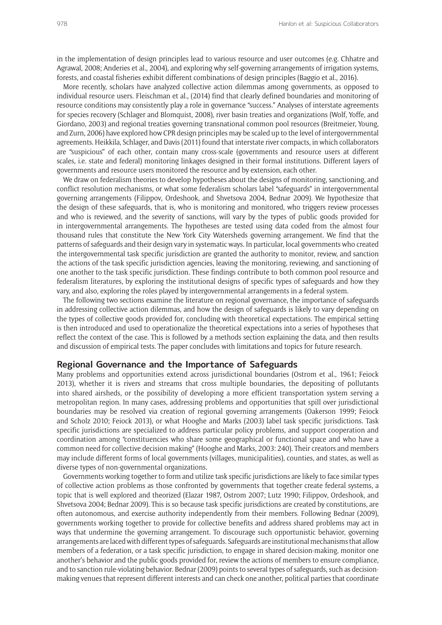in the implementation of design principles lead to various resource and user outcomes (e.g. Chhatre and Agrawal, 2008; Anderies et al., 2004), and exploring why self-governing arrangements of irrigation systems, forests, and coastal fisheries exhibit different combinations of design principles (Baggio et al., 2016).

More recently, scholars have analyzed collective action dilemmas among governments, as opposed to individual resource users. Fleischman et al., (2014) find that clearly defined boundaries and monitoring of resource conditions may consistently play a role in governance "success." Analyses of interstate agreements for species recovery (Schlager and Blomquist, 2008), river basin treaties and organizations (Wolf, Yoffe, and Giordano, 2003) and regional treaties governing transnational common pool resources (Breitmeier, Young, and Zurn, 2006) have explored how CPR design principles may be scaled up to the level of intergovernmental agreements. Heikkila, Schlager, and Davis (2011) found that interstate river compacts, in which collaborators are "suspicious" of each other, contain many cross-scale (governments and resource users at different scales, i.e. state and federal) monitoring linkages designed in their formal institutions. Different layers of governments and resource users monitored the resource and by extension, each other.

We draw on federalism theories to develop hypotheses about the designs of monitoring, sanctioning, and conflict resolution mechanisms, or what some federalism scholars label "safeguards" in intergovernmental governing arrangements (Filippov, Ordeshook, and Shvetsova 2004, Bednar 2009). We hypothesize that the design of these safeguards, that is, who is monitoring and monitored, who triggers review processes and who is reviewed, and the severity of sanctions, will vary by the types of public goods provided for in intergovernmental arrangements. The hypotheses are tested using data coded from the almost four thousand rules that constitute the New York City Watersheds governing arrangement. We find that the patterns of safeguards and their design vary in systematic ways. In particular, local governments who created the intergovernmental task specific jurisdiction are granted the authority to monitor, review, and sanction the actions of the task specific jurisdiction agencies, leaving the monitoring, reviewing, and sanctioning of one another to the task specific jurisdiction. These findings contribute to both common pool resource and federalism literatures, by exploring the institutional designs of specific types of safeguards and how they vary, and also, exploring the roles played by intergovernmental arrangements in a federal system.

The following two sections examine the literature on regional governance, the importance of safeguards in addressing collective action dilemmas, and how the design of safeguards is likely to vary depending on the types of collective goods provided for, concluding with theoretical expectations. The empirical setting is then introduced and used to operationalize the theoretical expectations into a series of hypotheses that reflect the context of the case. This is followed by a methods section explaining the data, and then results and discussion of empirical tests. The paper concludes with limitations and topics for future research.

### **Regional Governance and the Importance of Safeguards**

Many problems and opportunities extend across jurisdictional boundaries (Ostrom et al., 1961; Feiock 2013), whether it is rivers and streams that cross multiple boundaries, the depositing of pollutants into shared airsheds, or the possibility of developing a more efficient transportation system serving a metropolitan region. In many cases, addressing problems and opportunities that spill over jurisdictional boundaries may be resolved via creation of regional governing arrangements (Oakerson 1999; Feiock and Scholz 2010; Feiock 2013), or what Hooghe and Marks (2003) label task specific jurisdictions. Task specific jurisdictions are specialized to address particular policy problems, and support cooperation and coordination among "constituencies who share some geographical or functional space and who have a common need for collective decision making" (Hooghe and Marks, 2003: 240). Their creators and members may include different forms of local governments (villages, municipalities), counties, and states, as well as diverse types of non-governmental organizations.

Governments working together to form and utilize task specific jurisdictions are likely to face similar types of collective action problems as those confronted by governments that together create federal systems, a topic that is well explored and theorized (Elazar 1987, Ostrom 2007; Lutz 1990; Filippov, Ordeshook, and Shvetsova 2004; Bednar 2009). This is so because task specific jurisdictions are created by constitutions, are often autonomous, and exercise authority independently from their members. Following Bednar (2009), governments working together to provide for collective benefits and address shared problems may act in ways that undermine the governing arrangement. To discourage such opportunistic behavior, governing arrangements are laced with different types of safeguards. Safeguards are institutional mechanisms that allow members of a federation, or a task specific jurisdiction, to engage in shared decision-making, monitor one another's behavior and the public goods provided for, review the actions of members to ensure compliance, and to sanction rule-violating behavior. Bednar (2009) points to several types of safeguards, such as decisionmaking venues that represent different interests and can check one another, political parties that coordinate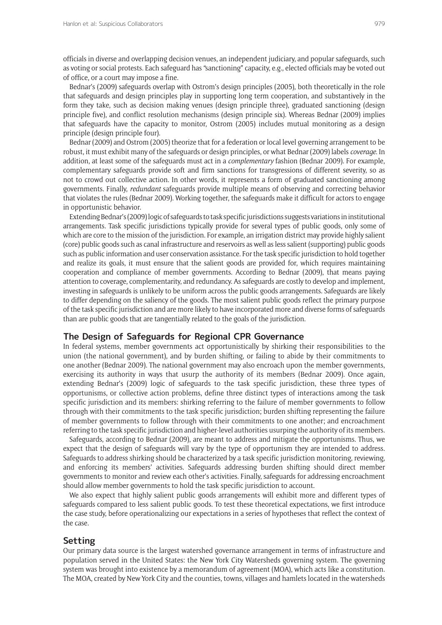officials in diverse and overlapping decision venues, an independent judiciary, and popular safeguards, such as voting or social protests. Each safeguard has "sanctioning" capacity, e.g., elected officials may be voted out of office, or a court may impose a fine.

Bednar's (2009) safeguards overlap with Ostrom's design principles (2005), both theoretically in the role that safeguards and design principles play in supporting long term cooperation, and substantively in the form they take, such as decision making venues (design principle three), graduated sanctioning (design principle five), and conflict resolution mechanisms (design principle six). Whereas Bednar (2009) implies that safeguards have the capacity to monitor, Ostrom (2005) includes mutual monitoring as a design principle (design principle four).

Bednar (2009) and Ostrom (2005) theorize that for a federation or local level governing arrangement to be robust, it must exhibit many of the safeguards or design principles, or what Bednar (2009) labels *coverage*. In addition, at least some of the safeguards must act in a *complementary* fashion (Bednar 2009). For example, complementary safeguards provide soft and firm sanctions for transgressions of different severity, so as not to crowd out collective action. In other words, it represents a form of graduated sanctioning among governments. Finally, *redundant* safeguards provide multiple means of observing and correcting behavior that violates the rules (Bednar 2009). Working together, the safeguards make it difficult for actors to engage in opportunistic behavior.

Extending Bednar's (2009) logic of safeguards to task specific jurisdictions suggests variations in institutional arrangements. Task specific jurisdictions typically provide for several types of public goods, only some of which are core to the mission of the jurisdiction. For example, an irrigation district may provide highly salient (core) public goods such as canal infrastructure and reservoirs as well as less salient (supporting) public goods such as public information and user conservation assistance. For the task specific jurisdiction to hold together and realize its goals, it must ensure that the salient goods are provided for, which requires maintaining cooperation and compliance of member governments. According to Bednar (2009), that means paying attention to coverage, complementarity, and redundancy. As safeguards are costly to develop and implement, investing in safeguards is unlikely to be uniform across the public goods arrangements. Safeguards are likely to differ depending on the saliency of the goods. The most salient public goods reflect the primary purpose of the task specific jurisdiction and are more likely to have incorporated more and diverse forms of safeguards than are public goods that are tangentially related to the goals of the jurisdiction.

### **The Design of Safeguards for Regional CPR Governance**

In federal systems, member governments act opportunistically by shirking their responsibilities to the union (the national government), and by burden shifting, or failing to abide by their commitments to one another (Bednar 2009). The national government may also encroach upon the member governments, exercising its authority in ways that usurp the authority of its members (Bednar 2009). Once again, extending Bednar's (2009) logic of safeguards to the task specific jurisdiction, these three types of opportunisms, or collective action problems, define three distinct types of interactions among the task specific jurisdiction and its members: shirking referring to the failure of member governments to follow through with their commitments to the task specific jurisdiction; burden shifting representing the failure of member governments to follow through with their commitments to one another; and encroachment referring to the task specific jurisdiction and higher-level authorities usurping the authority of its members.

Safeguards, according to Bednar (2009), are meant to address and mitigate the opportunisms. Thus, we expect that the design of safeguards will vary by the type of opportunism they are intended to address. Safeguards to address shirking should be characterized by a task specific jurisdiction monitoring, reviewing, and enforcing its members' activities. Safeguards addressing burden shifting should direct member governments to monitor and review each other's activities. Finally, safeguards for addressing encroachment should allow member governments to hold the task specific jurisdiction to account.

We also expect that highly salient public goods arrangements will exhibit more and different types of safeguards compared to less salient public goods. To test these theoretical expectations, we first introduce the case study, before operationalizing our expectations in a series of hypotheses that reflect the context of the case.

# **Setting**

Our primary data source is the largest watershed governance arrangement in terms of infrastructure and population served in the United States: the New York City Watersheds governing system. The governing system was brought into existence by a memorandum of agreement (MOA), which acts like a constitution. The MOA, created by New York City and the counties, towns, villages and hamlets located in the watersheds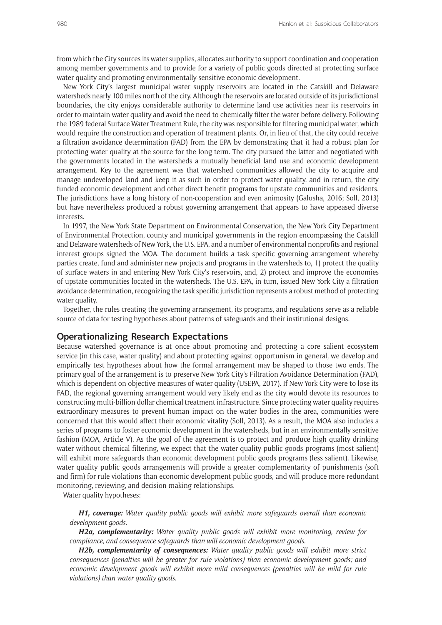from which the City sources its water supplies, allocates authority to support coordination and cooperation among member governments and to provide for a variety of public goods directed at protecting surface water quality and promoting environmentally-sensitive economic development.

New York City's largest municipal water supply reservoirs are located in the Catskill and Delaware watersheds nearly 100 miles north of the city. Although the reservoirs are located outside of its jurisdictional boundaries, the city enjoys considerable authority to determine land use activities near its reservoirs in order to maintain water quality and avoid the need to chemically filter the water before delivery. Following the 1989 federal Surface Water Treatment Rule, the city was responsible for filtering municipal water, which would require the construction and operation of treatment plants. Or, in lieu of that, the city could receive a filtration avoidance determination (FAD) from the EPA by demonstrating that it had a robust plan for protecting water quality at the source for the long term. The city pursued the latter and negotiated with the governments located in the watersheds a mutually beneficial land use and economic development arrangement. Key to the agreement was that watershed communities allowed the city to acquire and manage undeveloped land and keep it as such in order to protect water quality, and in return, the city funded economic development and other direct benefit programs for upstate communities and residents. The jurisdictions have a long history of non-cooperation and even animosity (Galusha, 2016; Soll, 2013) but have nevertheless produced a robust governing arrangement that appears to have appeased diverse interests.

In 1997, the New York State Department on Environmental Conservation, the New York City Department of Environmental Protection, county and municipal governments in the region encompassing the Catskill and Delaware watersheds of New York, the U.S. EPA, and a number of environmental nonprofits and regional interest groups signed the MOA. The document builds a task specific governing arrangement whereby parties create, fund and administer new projects and programs in the watersheds to, 1) protect the quality of surface waters in and entering New York City's reservoirs, and, 2) protect and improve the economies of upstate communities located in the watersheds. The U.S. EPA, in turn, issued New York City a filtration avoidance determination, recognizing the task specific jurisdiction represents a robust method of protecting water quality.

Together, the rules creating the governing arrangement, its programs, and regulations serve as a reliable source of data for testing hypotheses about patterns of safeguards and their institutional designs.

### **Operationalizing Research Expectations**

Because watershed governance is at once about promoting and protecting a core salient ecosystem service (in this case, water quality) and about protecting against opportunism in general, we develop and empirically test hypotheses about how the formal arrangement may be shaped to those two ends. The primary goal of the arrangement is to preserve New York City's Filtration Avoidance Determination (FAD), which is dependent on objective measures of water quality (USEPA, 2017). If New York City were to lose its FAD, the regional governing arrangement would very likely end as the city would devote its resources to constructing multi-billion dollar chemical treatment infrastructure. Since protecting water quality requires extraordinary measures to prevent human impact on the water bodies in the area, communities were concerned that this would affect their economic vitality (Soll, 2013). As a result, the MOA also includes a series of programs to foster economic development in the watersheds, but in an environmentally sensitive fashion (MOA, Article V). As the goal of the agreement is to protect and produce high quality drinking water without chemical filtering, we expect that the water quality public goods programs (most salient) will exhibit more safeguards than economic development public goods programs (less salient). Likewise, water quality public goods arrangements will provide a greater complementarity of punishments (soft and firm) for rule violations than economic development public goods, and will produce more redundant monitoring, reviewing, and decision-making relationships.

Water quality hypotheses:

*H1, coverage: Water quality public goods will exhibit more safeguards overall than economic development goods.*

*H2a, complementarity: Water quality public goods will exhibit more monitoring, review for compliance, and consequence safeguards than will economic development goods.* 

*H2b, complementarity of consequences: Water quality public goods will exhibit more strict consequences (penalties will be greater for rule violations) than economic development goods; and economic development goods will exhibit more mild consequences (penalties will be mild for rule violations) than water quality goods.*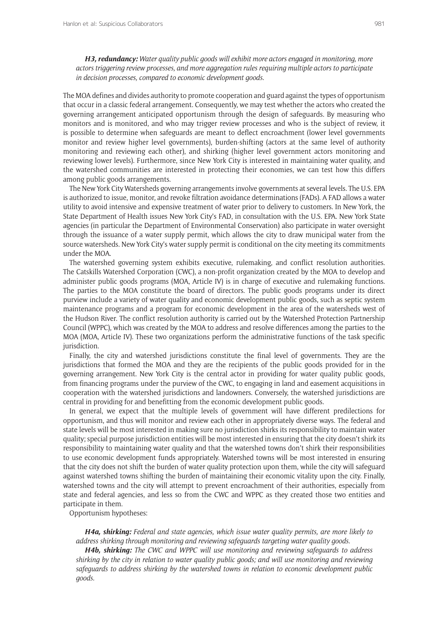*H3, redundancy: Water quality public goods will exhibit more actors engaged in monitoring, more actors triggering review processes, and more aggregation rules requiring multiple actors to participate in decision processes, compared to economic development goods.*

The MOA defines and divides authority to promote cooperation and guard against the types of opportunism that occur in a classic federal arrangement. Consequently, we may test whether the actors who created the governing arrangement anticipated opportunism through the design of safeguards. By measuring who monitors and is monitored, and who may trigger review processes and who is the subject of review, it is possible to determine when safeguards are meant to deflect encroachment (lower level governments monitor and review higher level governments), burden-shifting (actors at the same level of authority monitoring and reviewing each other), and shirking (higher level government actors monitoring and reviewing lower levels). Furthermore, since New York City is interested in maintaining water quality, and the watershed communities are interested in protecting their economies, we can test how this differs among public goods arrangements.

The New York City Watersheds governing arrangements involve governments at several levels. The U.S. EPA is authorized to issue, monitor, and revoke filtration avoidance determinations (FADs). A FAD allows a water utility to avoid intensive and expensive treatment of water prior to delivery to customers. In New York, the State Department of Health issues New York City's FAD, in consultation with the U.S. EPA. New York State agencies (in particular the Department of Environmental Conservation) also participate in water oversight through the issuance of a water supply permit, which allows the city to draw municipal water from the source watersheds. New York City's water supply permit is conditional on the city meeting its commitments under the MOA.

The watershed governing system exhibits executive, rulemaking, and conflict resolution authorities. The Catskills Watershed Corporation (CWC), a non-profit organization created by the MOA to develop and administer public goods programs (MOA, Article IV) is in charge of executive and rulemaking functions. The parties to the MOA constitute the board of directors. The public goods programs under its direct purview include a variety of water quality and economic development public goods, such as septic system maintenance programs and a program for economic development in the area of the watersheds west of the Hudson River. The conflict resolution authority is carried out by the Watershed Protection Partnership Council (WPPC), which was created by the MOA to address and resolve differences among the parties to the MOA (MOA, Article IV). These two organizations perform the administrative functions of the task specific jurisdiction.

Finally, the city and watershed jurisdictions constitute the final level of governments. They are the jurisdictions that formed the MOA and they are the recipients of the public goods provided for in the governing arrangement. New York City is the central actor in providing for water quality public goods, from financing programs under the purview of the CWC, to engaging in land and easement acquisitions in cooperation with the watershed jurisdictions and landowners. Conversely, the watershed jurisdictions are central in providing for and benefitting from the economic development public goods.

In general, we expect that the multiple levels of government will have different predilections for opportunism, and thus will monitor and review each other in appropriately diverse ways. The federal and state levels will be most interested in making sure no jurisdiction shirks its responsibility to maintain water quality; special purpose jurisdiction entities will be most interested in ensuring that the city doesn't shirk its responsibility to maintaining water quality and that the watershed towns don't shirk their responsibilities to use economic development funds appropriately. Watershed towns will be most interested in ensuring that the city does not shift the burden of water quality protection upon them, while the city will safeguard against watershed towns shifting the burden of maintaining their economic vitality upon the city. Finally, watershed towns and the city will attempt to prevent encroachment of their authorities, especially from state and federal agencies, and less so from the CWC and WPPC as they created those two entities and participate in them.

Opportunism hypotheses:

*H4a, shirking: Federal and state agencies, which issue water quality permits, are more likely to address shirking through monitoring and reviewing safeguards targeting water quality goods.* 

*H4b, shirking: The CWC and WPPC will use monitoring and reviewing safeguards to address shirking by the city in relation to water quality public goods; and will use monitoring and reviewing safeguards to address shirking by the watershed towns in relation to economic development public goods.*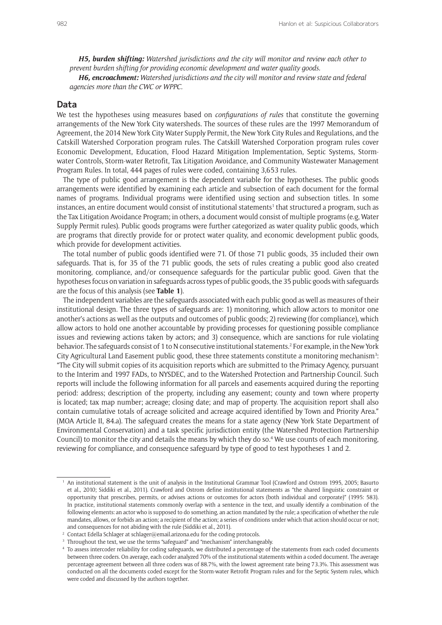*H5, burden shifting: Watershed jurisdictions and the city will monitor and review each other to prevent burden shifting for providing economic development and water quality goods.*

*H6, encroachment: Watershed jurisdictions and the city will monitor and review state and federal agencies more than the CWC or WPPC.*

#### **Data**

We test the hypotheses using measures based on *configurations of rules* that constitute the governing arrangements of the New York City watersheds. The sources of these rules are the 1997 Memorandum of Agreement, the 2014 New York City Water Supply Permit, the New York City Rules and Regulations, and the Catskill Watershed Corporation program rules. The Catskill Watershed Corporation program rules cover Economic Development, Education, Flood Hazard Mitigation Implementation, Septic Systems, Stormwater Controls, Storm-water Retrofit, Tax Litigation Avoidance, and Community Wastewater Management Program Rules. In total, 444 pages of rules were coded, containing 3,653 rules.

The type of public good arrangement is the dependent variable for the hypotheses. The public goods arrangements were identified by examining each article and subsection of each document for the formal names of programs. Individual programs were identified using section and subsection titles. In some instances, an entire document would consist of institutional statements<sup>1</sup> that structured a program, such as the Tax Litigation Avoidance Program; in others, a document would consist of multiple programs (e.g, Water Supply Permit rules). Public goods programs were further categorized as water quality public goods, which are programs that directly provide for or protect water quality, and economic development public goods, which provide for development activities.

The total number of public goods identified were 71. Of those 71 public goods, 35 included their own safeguards. That is, for 35 of the 71 public goods, the sets of rules creating a public good also created monitoring, compliance, and/or consequence safeguards for the particular public good. Given that the hypotheses focus on variation in safeguards across types of public goods, the 35 public goods with safeguards are the focus of this analysis (see **Table 1**).

The independent variables are the safeguards associated with each public good as well as measures of their institutional design. The three types of safeguards are: 1) monitoring, which allow actors to monitor one another's actions as well as the outputs and outcomes of public goods; 2) reviewing (for compliance), which allow actors to hold one another accountable by providing processes for questioning possible compliance issues and reviewing actions taken by actors; and 3) consequence, which are sanctions for rule violating behavior. The safeguards consist of 1 to N consecutive institutional statements.<sup>2</sup> For example, in the New York City Agricultural Land Easement public good, these three statements constitute a monitoring mechanism<sup>3</sup>: "The City will submit copies of its acquisition reports which are submitted to the Primacy Agency, pursuant to the Interim and 1997 FADs, to NYSDEC, and to the Watershed Protection and Partnership Council. Such reports will include the following information for all parcels and easements acquired during the reporting period: address; description of the property, including any easement; county and town where property is located; tax map number; acreage; closing date; and map of property. The acquisition report shall also contain cumulative totals of acreage solicited and acreage acquired identified by Town and Priority Area." (MOA Article II, 84.a). The safeguard creates the means for a state agency (New York State Department of Environmental Conservation) and a task specific jurisdiction entity (the Watershed Protection Partnership Council) to monitor the city and details the means by which they do so.4 We use counts of each monitoring, reviewing for compliance, and consequence safeguard by type of good to test hypotheses 1 and 2.

<sup>1</sup> An institutional statement is the unit of analysis in the Institutional Grammar Tool (Crawford and Ostrom 1995, 2005; Basurto et al., 2010; Siddiki et al., 2011). Crawford and Ostrom define institutional statements as "the shared linguistic constraint or opportunity that prescribes, permits, or advises actions or outcomes for actors (both individual and corporate)" (1995: 583). In practice, institutional statements commonly overlap with a sentence in the text, and usually identify a combination of the following elements: an actor who is supposed to do something, an action mandated by the rule; a specification of whether the rule mandates, allows, or forbids an action; a recipient of the action; a series of conditions under which that action should occur or not; and consequences for not abiding with the rule (Siddiki et al., 2011).

<sup>&</sup>lt;sup>2</sup> Contact Edella Schlager at [schlager@email.arizona.edu](mailto:schlager@email.arizona.edu) for the coding protocols.

<sup>&</sup>lt;sup>3</sup> Throughout the text, we use the terms "safeguard" and "mechanism" interchangeably.

<sup>4</sup> To assess intercoder reliability for coding safeguards, we distributed a percentage of the statements from each coded documents between three coders. On average, each coder analyzed 70% of the institutional statements within a coded document. The average percentage agreement between all three coders was of 88.7%, with the lowest agreement rate being 73.3%. This assessment was conducted on all the documents coded except for the Storm-water Retrofit Program rules and for the Septic System rules, which were coded and discussed by the authors together.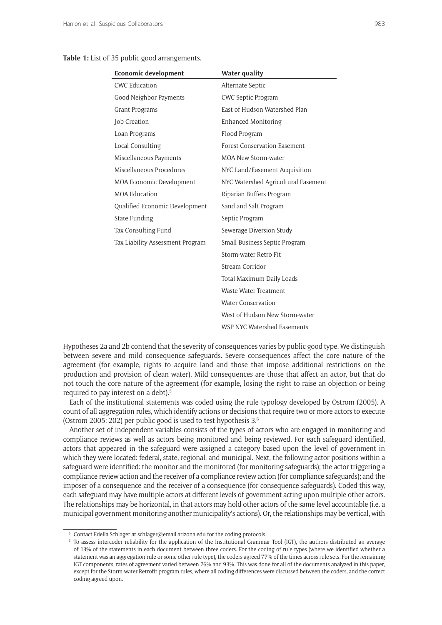#### **Table 1:** List of 35 public good arrangements.

| <b>Economic development</b>      | <b>Water quality</b>                |
|----------------------------------|-------------------------------------|
| <b>CWC Education</b>             | Alternate Septic                    |
| Good Neighbor Payments           | <b>CWC Septic Program</b>           |
| Grant Programs                   | East of Hudson Watershed Plan       |
| Job Creation                     | <b>Enhanced Monitoring</b>          |
| Loan Programs                    | Flood Program                       |
| Local Consulting                 | <b>Forest Conservation Easement</b> |
| Miscellaneous Payments           | <b>MOA New Storm-water</b>          |
| Miscellaneous Procedures         | NYC Land/Easement Acquisition       |
| MOA Economic Development         | NYC Watershed Agricultural Easement |
| <b>MOA Education</b>             | Riparian Buffers Program            |
| Qualified Economic Development   | Sand and Salt Program               |
| State Funding                    | Septic Program                      |
| Tax Consulting Fund              | Sewerage Diversion Study            |
| Tax Liability Assessment Program | Small Business Septic Program       |
|                                  | Storm-water Retro Fit               |
|                                  | Stream Corridor                     |
|                                  | Total Maximum Daily Loads           |
|                                  | Waste Water Treatment               |
|                                  | <b>Water Conservation</b>           |
|                                  | West of Hudson New Storm-water      |
|                                  | WSP NYC Watershed Easements         |

Hypotheses 2a and 2b contend that the severity of consequences varies by public good type. We distinguish between severe and mild consequence safeguards. Severe consequences affect the core nature of the agreement (for example, rights to acquire land and those that impose additional restrictions on the production and provision of clean water). Mild consequences are those that affect an actor, but that do not touch the core nature of the agreement (for example, losing the right to raise an objection or being required to pay interest on a debt).<sup>5</sup>

Each of the institutional statements was coded using the rule typology developed by Ostrom (2005). A count of all aggregation rules, which identify actions or decisions that require two or more actors to execute (Ostrom 2005: 202) per public good is used to test hypothesis  $3<sup>6</sup>$ 

Another set of independent variables consists of the types of actors who are engaged in monitoring and compliance reviews as well as actors being monitored and being reviewed. For each safeguard identified, actors that appeared in the safeguard were assigned a category based upon the level of government in which they were located: federal, state, regional, and municipal. Next, the following actor positions within a safeguard were identified: the monitor and the monitored (for monitoring safeguards); the actor triggering a compliance review action and the receiver of a compliance review action (for compliance safeguards); and the imposer of a consequence and the receiver of a consequence (for consequence safeguards). Coded this way, each safeguard may have multiple actors at different levels of government acting upon multiple other actors. The relationships may be horizontal, in that actors may hold other actors of the same level accountable (i.e. a municipal government monitoring another municipality's actions). Or, the relationships may be vertical, with

<sup>5</sup> Contact Edella Schlager at [schlager@email.arizona.edu](mailto:schlager@email.arizona.edu) for the coding protocols.

<sup>6</sup> To assess intercoder reliability for the application of the Institutional Grammar Tool (IGT), the authors distributed an average of 13% of the statements in each document between three coders. For the coding of rule types (where we identified whether a statement was an aggregation rule or some other rule type), the coders agreed 77% of the times across rule sets. For the remaining IGT components, rates of agreement varied between 76% and 93%. This was done for all of the documents analyzed in this paper, except for the Storm-water Retrofit program rules, where all coding differences were discussed between the coders, and the correct coding agreed upon.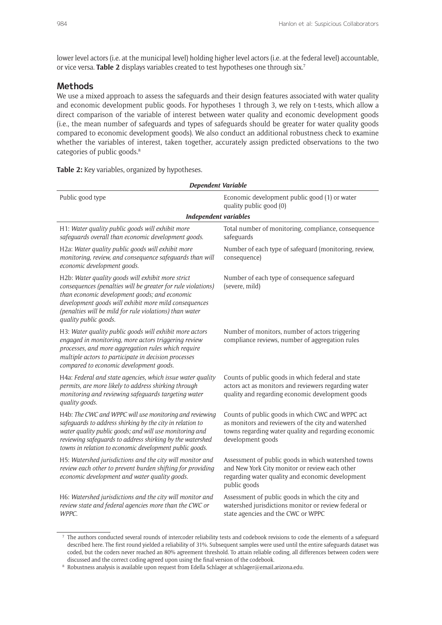lower level actors (i.e. at the municipal level) holding higher level actors (i.e. at the federal level) accountable, or vice versa. **Table 2** displays variables created to test hypotheses one through six.7

# **Methods**

We use a mixed approach to assess the safeguards and their design features associated with water quality and economic development public goods. For hypotheses 1 through 3, we rely on t-tests, which allow a direct comparison of the variable of interest between water quality and economic development goods (i.e., the mean number of safeguards and types of safeguards should be greater for water quality goods compared to economic development goods). We also conduct an additional robustness check to examine whether the variables of interest, taken together, accurately assign predicted observations to the two categories of public goods.8

| Dependent Variable                                                                                                                                                                                                                                                                                              |                                                                                                                                                                                      |  |  |
|-----------------------------------------------------------------------------------------------------------------------------------------------------------------------------------------------------------------------------------------------------------------------------------------------------------------|--------------------------------------------------------------------------------------------------------------------------------------------------------------------------------------|--|--|
| Public good type                                                                                                                                                                                                                                                                                                | Economic development public good (1) or water<br>quality public good (0)                                                                                                             |  |  |
| <b>Independent variables</b>                                                                                                                                                                                                                                                                                    |                                                                                                                                                                                      |  |  |
| H1: Water quality public goods will exhibit more<br>safeguards overall than economic development goods.                                                                                                                                                                                                         | Total number of monitoring, compliance, consequence<br>safeguards                                                                                                                    |  |  |
| H2a: Water quality public goods will exhibit more<br>monitoring, review, and consequence safeguards than will<br>economic development goods.                                                                                                                                                                    | Number of each type of safeguard (monitoring, review,<br>consequence)                                                                                                                |  |  |
| H2b: Water quality goods will exhibit more strict<br>consequences (penalties will be greater for rule violations)<br>than economic development goods; and economic<br>development goods will exhibit more mild consequences<br>(penalties will be mild for rule violations) than water<br>quality public goods. | Number of each type of consequence safeguard<br>(severe, mild)                                                                                                                       |  |  |
| H3: Water quality public goods will exhibit more actors<br>engaged in monitoring, more actors triggering review<br>processes, and more aggregation rules which require<br>multiple actors to participate in decision processes<br>compared to economic development goods.                                       | Number of monitors, number of actors triggering<br>compliance reviews, number of aggregation rules                                                                                   |  |  |
| H4a: Federal and state agencies, which issue water quality<br>permits, are more likely to address shirking through<br>monitoring and reviewing safeguards targeting water<br>quality goods.                                                                                                                     | Counts of public goods in which federal and state<br>actors act as monitors and reviewers regarding water<br>quality and regarding economic development goods                        |  |  |
| H4b: The CWC and WPPC will use monitoring and reviewing<br>safeguards to address shirking by the city in relation to<br>water quality public goods; and will use monitoring and<br>reviewing safeguards to address shirking by the watershed<br>towns in relation to economic development public goods.         | Counts of public goods in which CWC and WPPC act<br>as monitors and reviewers of the city and watershed<br>towns regarding water quality and regarding economic<br>development goods |  |  |
| H5: Watershed jurisdictions and the city will monitor and<br>review each other to prevent burden shifting for providing<br>economic development and water quality goods.                                                                                                                                        | Assessment of public goods in which watershed towns<br>and New York City monitor or review each other<br>regarding water quality and economic development<br>public goods            |  |  |
| H6: Watershed jurisdictions and the city will monitor and<br>review state and federal agencies more than the CWC or<br>WPPC.                                                                                                                                                                                    | Assessment of public goods in which the city and<br>watershed jurisdictions monitor or review federal or<br>state agencies and the CWC or WPPC                                       |  |  |

**Table 2:** Key variables, organized by hypotheses.

<sup>7</sup> The authors conducted several rounds of intercoder reliability tests and codebook revisions to code the elements of a safeguard described here. The first round yielded a reliability of 31%. Subsequent samples were used until the entire safeguards dataset was coded, but the coders never reached an 80% agreement threshold. To attain reliable coding, all differences between coders were discussed and the correct coding agreed upon using the final version of the codebook.

<sup>8</sup> Robustness analysis is available upon request from Edella Schlager at [schlager@email.arizona.edu.](mailto:schlager@email.arizona.edu)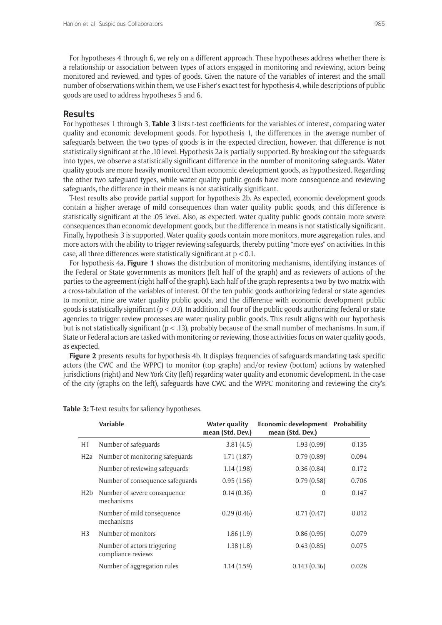For hypotheses 4 through 6, we rely on a different approach. These hypotheses address whether there is a relationship or association between types of actors engaged in monitoring and reviewing, actors being monitored and reviewed, and types of goods. Given the nature of the variables of interest and the small number of observations within them, we use Fisher's exact test for hypothesis 4, while descriptions of public goods are used to address hypotheses 5 and 6.

# **Results**

For hypotheses 1 through 3, **Table 3** lists t-test coefficients for the variables of interest, comparing water quality and economic development goods. For hypothesis 1, the differences in the average number of safeguards between the two types of goods is in the expected direction, however, that difference is not statistically significant at the .10 level. Hypothesis 2a is partially supported. By breaking out the safeguards into types, we observe a statistically significant difference in the number of monitoring safeguards. Water quality goods are more heavily monitored than economic development goods, as hypothesized. Regarding the other two safeguard types, while water quality public goods have more consequence and reviewing safeguards, the difference in their means is not statistically significant.

T-test results also provide partial support for hypothesis 2b. As expected, economic development goods contain a higher average of mild consequences than water quality public goods, and this difference is statistically significant at the .05 level. Also, as expected, water quality public goods contain more severe consequences than economic development goods, but the difference in means is not statistically significant. Finally, hypothesis 3 is supported. Water quality goods contain more monitors, more aggregation rules, and more actors with the ability to trigger reviewing safeguards, thereby putting "more eyes" on activities. In this case, all three differences were statistically significant at  $p < 0.1$ .

For hypothesis 4a, **Figure 1** shows the distribution of monitoring mechanisms, identifying instances of the Federal or State governments as monitors (left half of the graph) and as reviewers of actions of the parties to the agreement (right half of the graph). Each half of the graph represents a two-by-two matrix with a cross-tabulation of the variables of interest. Of the ten public goods authorizing federal or state agencies to monitor, nine are water quality public goods, and the difference with economic development public goods is statistically significant ( $p < .03$ ). In addition, all four of the public goods authorizing federal or state agencies to trigger review processes are water quality public goods. This result aligns with our hypothesis but is not statistically significant (p < .13), probably because of the small number of mechanisms. In sum, if State or Federal actors are tasked with monitoring or reviewing, those activities focus on water quality goods, as expected.

**Figure 2** presents results for hypothesis 4b. It displays frequencies of safeguards mandating task specific actors (the CWC and the WPPC) to monitor (top graphs) and/or review (bottom) actions by watershed jurisdictions (right) and New York City (left) regarding water quality and economic development. In the case of the city (graphs on the left), safeguards have CWC and the WPPC monitoring and reviewing the city's

|                  | Variable                                          | Water quality<br>mean (Std. Dev.) | Economic development Probability<br>mean (Std. Dev.) |       |
|------------------|---------------------------------------------------|-----------------------------------|------------------------------------------------------|-------|
| H1               | Number of safeguards                              | 3.81(4.5)                         | 1.93(0.99)                                           | 0.135 |
| H <sub>2</sub> a | Number of monitoring safeguards                   | 1.71(1.87)                        | 0.79(0.89)                                           | 0.094 |
|                  | Number of reviewing safeguards                    | 1.14(1.98)                        | 0.36(0.84)                                           | 0.172 |
|                  | Number of consequence safeguards                  | 0.95(1.56)                        | 0.79(0.58)                                           | 0.706 |
| H2b              | Number of severe consequence<br>mechanisms        | 0.14(0.36)                        | $\Omega$                                             | 0.147 |
|                  | Number of mild consequence<br>mechanisms          | 0.29(0.46)                        | 0.71(0.47)                                           | 0.012 |
| H <sub>3</sub>   | Number of monitors                                | 1.86(1.9)                         | 0.86(0.95)                                           | 0.079 |
|                  | Number of actors triggering<br>compliance reviews | 1.38(1.8)                         | 0.43(0.85)                                           | 0.075 |
|                  | Number of aggregation rules                       | 1.14(1.59)                        | 0.143(0.36)                                          | 0.028 |

**Table 3:** T-test results for saliency hypotheses.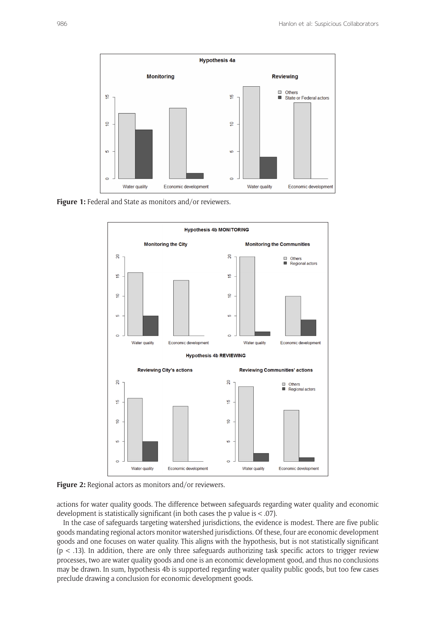

Figure 1: Federal and State as monitors and/or reviewers.





actions for water quality goods. The difference between safeguards regarding water quality and economic development is statistically significant (in both cases the p value is < .07).

In the case of safeguards targeting watershed jurisdictions, the evidence is modest. There are five public goods mandating regional actors monitor watershed jurisdictions. Of these, four are economic development goods and one focuses on water quality. This aligns with the hypothesis, but is not statistically significant  $(p < .13)$ . In addition, there are only three safeguards authorizing task specific actors to trigger review processes, two are water quality goods and one is an economic development good, and thus no conclusions may be drawn. In sum, hypothesis 4b is supported regarding water quality public goods, but too few cases preclude drawing a conclusion for economic development goods.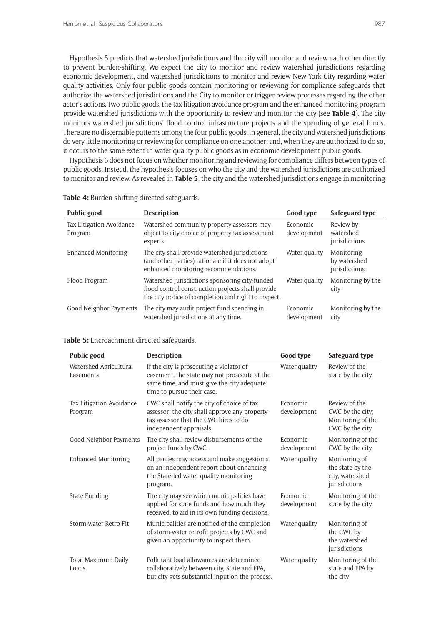Hypothesis 5 predicts that watershed jurisdictions and the city will monitor and review each other directly to prevent burden-shifting. We expect the city to monitor and review watershed jurisdictions regarding economic development, and watershed jurisdictions to monitor and review New York City regarding water quality activities. Only four public goods contain monitoring or reviewing for compliance safeguards that authorize the watershed jurisdictions and the City to monitor or trigger review processes regarding the other actor's actions. Two public goods, the tax litigation avoidance program and the enhanced monitoring program provide watershed jurisdictions with the opportunity to review and monitor the city (see **Table 4**). The city monitors watershed jurisdictions' flood control infrastructure projects and the spending of general funds. There are no discernable patterns among the four public goods. In general, the city and watershed jurisdictions do very little monitoring or reviewing for compliance on one another; and, when they are authorized to do so, it occurs to the same extent in water quality public goods as in economic development public goods.

Hypothesis 6 does not focus on whether monitoring and reviewing for compliance differs between types of public goods. Instead, the hypothesis focuses on who the city and the watershed jurisdictions are authorized to monitor and review. As revealed in **Table 5**, the city and the watershed jurisdictions engage in monitoring

| Public good                         | <b>Description</b>                                                                                                                                         | Good type               | Safeguard type                              |
|-------------------------------------|------------------------------------------------------------------------------------------------------------------------------------------------------------|-------------------------|---------------------------------------------|
| Tax Litigation Avoidance<br>Program | Watershed community property assessors may<br>object to city choice of property tax assessment<br>experts.                                                 | Economic<br>development | Review by<br>watershed<br>jurisdictions     |
| Enhanced Monitoring                 | The city shall provide watershed jurisdictions<br>(and other parties) rationale if it does not adopt<br>enhanced monitoring recommendations.               | Water quality           | Monitoring<br>by watershed<br>jurisdictions |
| Flood Program                       | Watershed jurisdictions sponsoring city-funded<br>flood control construction projects shall provide<br>the city notice of completion and right to inspect. | Water quality           | Monitoring by the<br>city                   |
| Good Neighbor Payments              | The city may audit project fund spending in<br>watershed jurisdictions at any time.                                                                        | Economic<br>development | Monitoring by the<br>city                   |

**Table 4:** Burden-shifting directed safeguards.

| Table 5: Encroachment directed safeguards. |  |
|--------------------------------------------|--|
|--------------------------------------------|--|

| <b>Public good</b>                  | <b>Description</b>                                                                                                                                                   | Good type               | Safeguard type                                                            |
|-------------------------------------|----------------------------------------------------------------------------------------------------------------------------------------------------------------------|-------------------------|---------------------------------------------------------------------------|
| Watershed Agricultural<br>Easements | If the city is prosecuting a violator of<br>easement, the state may not prosecute at the<br>same time, and must give the city adequate<br>time to pursue their case. | Water quality           | Review of the<br>state by the city                                        |
| Tax Litigation Avoidance<br>Program | CWC shall notify the city of choice of tax<br>assessor; the city shall approve any property<br>tax assessor that the CWC hires to do<br>independent appraisals.      | Economic<br>development | Review of the<br>CWC by the city;<br>Monitoring of the<br>CWC by the city |
| Good Neighbor Payments              | The city shall review disbursements of the<br>project funds by CWC.                                                                                                  | Economic<br>development | Monitoring of the<br>CWC by the city                                      |
| <b>Enhanced Monitoring</b>          | All parties may access and make suggestions<br>on an independent report about enhancing<br>the State-led water quality monitoring<br>program.                        | Water quality           | Monitoring of<br>the state by the<br>city, watershed<br>jurisdictions     |
| State Funding                       | The city may see which municipalities have<br>applied for state funds and how much they<br>received, to aid in its own funding decisions.                            | Economic<br>development | Monitoring of the<br>state by the city                                    |
| Storm-water Retro Fit               | Municipalities are notified of the completion<br>of storm-water retrofit projects by CWC and<br>given an opportunity to inspect them.                                | Water quality           | Monitoring of<br>the CWC by<br>the watershed<br>jurisdictions             |
| Total Maximum Daily<br>Loads        | Pollutant load allowances are determined<br>collaboratively between city, State and EPA,<br>but city gets substantial input on the process.                          | Water quality           | Monitoring of the<br>state and EPA by<br>the city                         |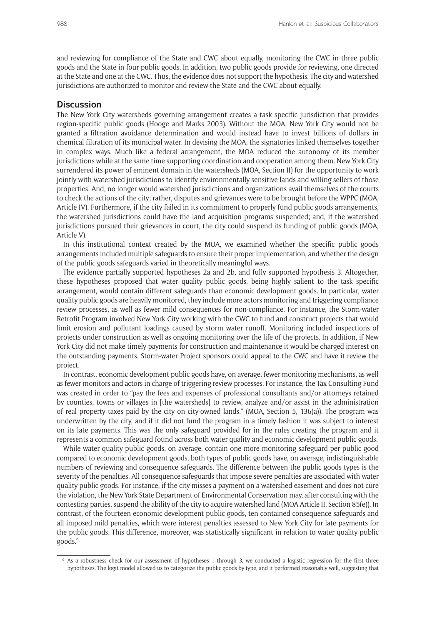and reviewing for compliance of the State and CWC about equally, monitoring the CWC in three public goods and the State in four public goods. In addition, two public goods provide for reviewing, one directed at the State and one at the CWC. Thus, the evidence does not support the hypothesis. The city and watershed jurisdictions are authorized to monitor and review the State and the CWC about equally.

#### **Discussion**

The New York City watersheds governing arrangement creates a task specific jurisdiction that provides region-specific public goods (Hooge and Marks 2003). Without the MOA, New York City would not be granted a filtration avoidance determination and would instead have to invest billions of dollars in chemical filtration of its municipal water. In devising the MOA, the signatories linked themselves together in complex ways. Much like a federal arrangement, the MOA reduced the autonomy of its member jurisdictions while at the same time supporting coordination and cooperation among them. New York City surrendered its power of eminent domain in the watersheds (MOA, Section II) for the opportunity to work jointly with watershed jurisdictions to identify environmentally sensitive lands and willing sellers of those properties. And, no longer would watershed jurisdictions and organizations avail themselves of the courts to check the actions of the city; rather, disputes and grievances were to be brought before the WPPC (MOA, Article IV). Furthermore, if the city failed in its commitment to properly fund public goods arrangements, the watershed jurisdictions could have the land acquisition programs suspended; and, if the watershed jurisdictions pursued their grievances in court, the city could suspend its funding of public goods (MOA, Article V).

In this institutional context created by the MOA, we examined whether the specific public goods arrangements included multiple safeguards to ensure their proper implementation, and whether the design of the public goods safeguards varied in theoretically meaningful ways.

The evidence partially supported hypotheses 2a and 2b, and fully supported hypothesis 3. Altogether, these hypotheses proposed that water quality public goods, being highly salient to the task specific arrangement, would contain different safeguards than economic development goods. In particular, water quality public goods are heavily monitored, they include more actors monitoring and triggering compliance review processes, as well as fewer mild consequences for non-compliance. For instance, the Storm-water Retrofit Program involved New York City working with the CWC to fund and construct projects that would limit erosion and pollutant loadings caused by storm water runoff. Monitoring included inspections of projects under construction as well as ongoing monitoring over the life of the projects. In addition, if New York City did not make timely payments for construction and maintenance it would be charged interest on the outstanding payments. Storm-water Project sponsors could appeal to the CWC and have it review the project.

In contrast, economic development public goods have, on average, fewer monitoring mechanisms, as well as fewer monitors and actors in charge of triggering review processes. For instance, the Tax Consulting Fund was created in order to "pay the fees and expenses of professional consultants and/or attorneys retained by counties, towns or villages in [the watersheds] to review, analyze and/or assist in the administration of real property taxes paid by the city on city-owned lands." (MOA, Section 5, 136(a)). The program was underwritten by the city, and if it did not fund the program in a timely fashion it was subject to interest on its late payments. This was the only safeguard provided for in the rules creating the program and it represents a common safeguard found across both water quality and economic development public goods.

While water quality public goods, on average, contain one more monitoring safeguard per public good compared to economic development goods, both types of public goods have, on average, indistinguishable numbers of reviewing and consequence safeguards. The difference between the public goods types is the severity of the penalties. All consequence safeguards that impose severe penalties are associated with water quality public goods. For instance, if the city misses a payment on a watershed easement and does not cure the violation, the New York State Department of Environmental Conservation may, after consulting with the contesting parties, suspend the ability of the city to acquire watershed land (MOA Article II, Section 85(e)). In contrast, of the fourteen economic development public goods, ten contained consequence safeguards and all imposed mild penalties, which were interest penalties assessed to New York City for late payments for the public goods. This difference, moreover, was statistically significant in relation to water quality public goods.9

<sup>&</sup>lt;sup>9</sup> As a robustness check for our assessment of hypotheses 1 through 3, we conducted a logistic regression for the first three hypotheses. The logit model allowed us to categorize the public goods by type, and it performed reasonably well, suggesting that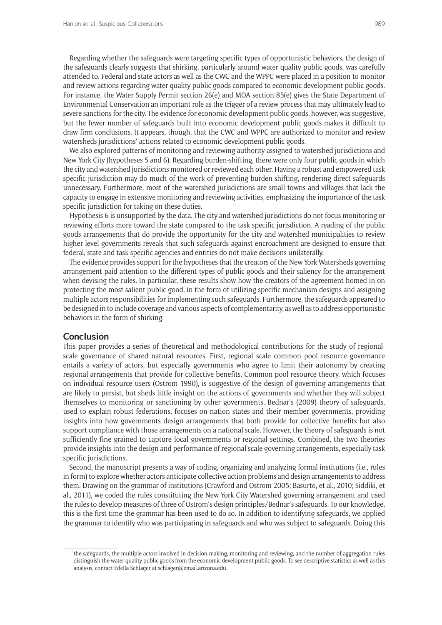Regarding whether the safeguards were targeting specific types of opportunistic behaviors, the design of the safeguards clearly suggests that shirking, particularly around water quality public goods, was carefully attended to. Federal and state actors as well as the CWC and the WPPC were placed in a position to monitor and review actions regarding water quality public goods compared to economic development public goods. For instance, the Water Supply Permit section 26(e) and MOA section 85(e) gives the State Department of Environmental Conservation an important role as the trigger of a review process that may ultimately lead to severe sanctions for the city. The evidence for economic development public goods, however, was suggestive, but the fewer number of safeguards built into economic development public goods makes it difficult to draw firm conclusions. It appears, though, that the CWC and WPPC are authorized to monitor and review watersheds jurisdictions' actions related to economic development public goods.

We also explored patterns of monitoring and reviewing authority assigned to watershed jurisdictions and New York City (hypotheses 5 and 6). Regarding burden-shifting, there were only four public goods in which the city and watershed jurisdictions monitored or reviewed each other. Having a robust and empowered task specific jurisdiction may do much of the work of preventing burden-shifting, rendering direct safeguards unnecessary. Furthermore, most of the watershed jurisdictions are small towns and villages that lack the capacity to engage in extensive monitoring and reviewing activities, emphasizing the importance of the task specific jurisdiction for taking on these duties.

Hypothesis 6 is unsupported by the data. The city and watershed jurisdictions do not focus monitoring or reviewing efforts more toward the state compared to the task specific jurisdiction. A reading of the public goods arrangements that do provide the opportunity for the city and watershed municipalities to review higher level governments reveals that such safeguards against encroachment are designed to ensure that federal, state and task specific agencies and entities do not make decisions unilaterally.

The evidence provides support for the hypotheses that the creators of the New York Watersheds governing arrangement paid attention to the different types of public goods and their saliency for the arrangement when devising the rules. In particular, these results show how the creators of the agreement homed in on protecting the most salient public good, in the form of utilizing specific mechanism designs and assigning multiple actors responsibilities for implementing such safeguards. Furthermore, the safeguards appeared to be designed in to include coverage and various aspects of complementarity, as well as to address opportunistic behaviors in the form of shirking.

#### **Conclusion**

This paper provides a series of theoretical and methodological contributions for the study of regionalscale governance of shared natural resources. First, regional scale common pool resource governance entails a variety of actors, but especially governments who agree to limit their autonomy by creating regional arrangements that provide for collective benefits. Common pool resource theory, which focuses on individual resource users (Ostrom 1990), is suggestive of the design of governing arrangements that are likely to persist, but sheds little insight on the actions of governments and whether they will subject themselves to monitoring or sanctioning by other governments. Bednar's (2009) theory of safeguards, used to explain robust federations, focuses on nation states and their member governments, providing insights into how governments design arrangements that both provide for collective benefits but also support compliance with those arrangements on a national scale. However, the theory of safeguards is not sufficiently fine grained to capture local governments or regional settings. Combined, the two theories provide insights into the design and performance of regional scale governing arrangements, especially task specific jurisdictions.

Second, the manuscript presents a way of coding, organizing and analyzing formal institutions (i.e., rules in form) to explore whether actors anticipate collective action problems and design arrangements to address them. Drawing on the grammar of institutions (Crawford and Ostrom 2005; Basurto, et al., 2010; Siddiki, et al., 2011), we coded the rules constituting the New York City Watershed governing arrangement and used the rules to develop measures of three of Ostrom's design principles/Bednar's safeguards. To our knowledge, this is the first time the grammar has been used to do so. In addition to identifying safeguards, we applied the grammar to identify who was participating in safeguards and who was subject to safeguards. Doing this

the safeguards, the multiple actors involved in decision making, monitoring and reviewing, and the number of aggregation rules distinguish the water quality public goods from the economic development public goods. To see descriptive statistics as well as this analysis, contact Edella Schlager at [schlager@email.arizona.edu.](mailto:schlager@email.arizona.edu)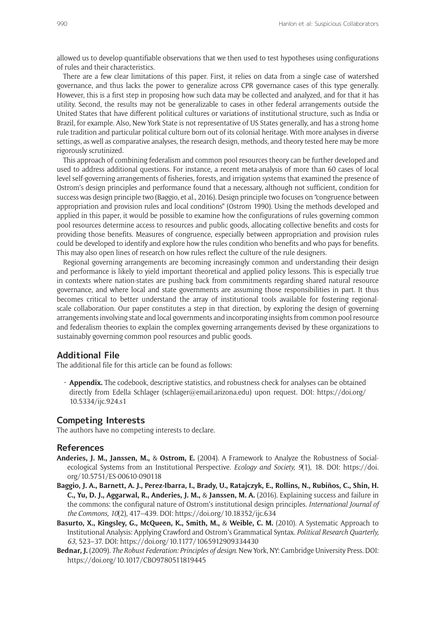allowed us to develop quantifiable observations that we then used to test hypotheses using configurations of rules and their characteristics.

There are a few clear limitations of this paper. First, it relies on data from a single case of watershed governance, and thus lacks the power to generalize across CPR governance cases of this type generally. However, this is a first step in proposing how such data may be collected and analyzed, and for that it has utility. Second, the results may not be generalizable to cases in other federal arrangements outside the United States that have different political cultures or variations of institutional structure, such as India or Brazil, for example. Also, New York State is not representative of US States generally, and has a strong home rule tradition and particular political culture born out of its colonial heritage. With more analyses in diverse settings, as well as comparative analyses, the research design, methods, and theory tested here may be more rigorously scrutinized.

This approach of combining federalism and common pool resources theory can be further developed and used to address additional questions. For instance, a recent meta-analysis of more than 60 cases of local level self-governing arrangements of fisheries, forests, and irrigation systems that examined the presence of Ostrom's design principles and performance found that a necessary, although not sufficient, condition for success was design principle two (Baggio, et al., 2016). Design principle two focuses on "congruence between appropriation and provision rules and local conditions" (Ostrom 1990). Using the methods developed and applied in this paper, it would be possible to examine how the configurations of rules governing common pool resources determine access to resources and public goods, allocating collective benefits and costs for providing those benefits. Measures of congruence, especially between appropriation and provision rules could be developed to identify and explore how the rules condition who benefits and who pays for benefits. This may also open lines of research on how rules reflect the culture of the rule designers.

Regional governing arrangements are becoming increasingly common and understanding their design and performance is likely to yield important theoretical and applied policy lessons. This is especially true in contexts where nation-states are pushing back from commitments regarding shared natural resource governance, and where local and state governments are assuming those responsibilities in part. It thus becomes critical to better understand the array of institutional tools available for fostering regionalscale collaboration. Our paper constitutes a step in that direction, by exploring the design of governing arrangements involving state and local governments and incorporating insights from common pool resource and federalism theories to explain the complex governing arrangements devised by these organizations to sustainably governing common pool resources and public goods.

# **Additional File**

The additional file for this article can be found as follows:

• **Appendix.** The codebook, descriptive statistics, and robustness check for analyses can be obtained directly from Edella Schlager [\(schlager@email.arizona.edu](mailto:schlager@email.arizona.edu)) upon request. DOI: [https://doi.org/](https://doi.org/10.5334/ijc.924.s1) [10.5334/ijc.924.s1](https://doi.org/10.5334/ijc.924.s1)

#### **Competing Interests**

The authors have no competing interests to declare.

#### **References**

- **Anderies, J. M., Janssen, M.,** & **Ostrom, E.** (2004). A Framework to Analyze the Robustness of Socialecological Systems from an Institutional Perspective. *Ecology and Society, 9*(1), 18. DOI: [https://doi.](https://doi.org/10.5751/ES-00610-090118) [org/10.5751/ES-00610-090118](https://doi.org/10.5751/ES-00610-090118)
- **Baggio, J. A., Barnett, A. J., Perez-Ibarra, I., Brady, U., Ratajczyk, E., Rollins, N., Rubiños, C., Shin, H. C., Yu, D. J., Aggarwal, R., Anderies, J. M.,** & **Janssen, M. A.** (2016). Explaining success and failure in the commons: the configural nature of Ostrom's institutional design principles. *International Journal of the Commons, 10*(2), 417–439. DOI: <https://doi.org/10.18352/ijc.634>
- **Basurto, X., Kingsley, G., McQueen, K., Smith, M.,** & **Weible, C. M.** (2010). A Systematic Approach to Institutional Analysis: Applying Crawford and Ostrom's Grammatical Syntax. *Political Research Quarterly, 63*, 523–37. DOI: <https://doi.org/10.1177/1065912909334430>
- **Bednar, J.** (2009). *The Robust Federation: Principles of design*. New York, NY: Cambridge University Press. DOI: <https://doi.org/10.1017/CBO9780511819445>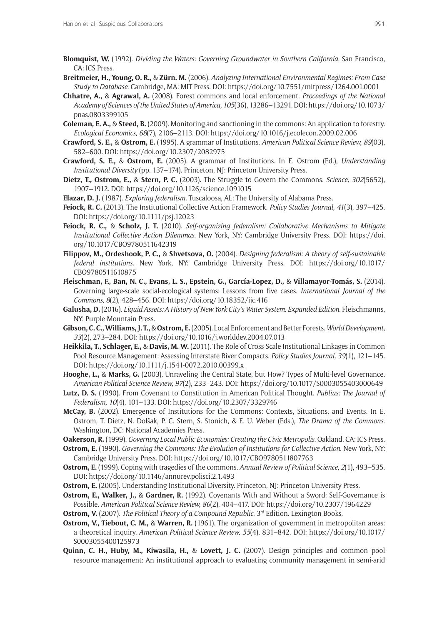- **Blomquist, W.** (1992). *Dividing the Waters: Governing Groundwater in Southern California*. San Francisco, CA: ICS Press.
- **Breitmeier, H., Young, O. R.,** & **Zürn. M.** (2006). *Analyzing International Environmental Regimes: From Case Study to Database*. Cambridge, MA: MIT Press. DOI: <https://doi.org/10.7551/mitpress/1264.001.0001>
- **Chhatre, A.,** & **Agrawal, A.** (2008). Forest commons and local enforcement. *Proceedings of the National Academy of Sciences of the United States of America, 105*(36), 13286–13291. DOI: [https://doi.org/10.1073/](https://doi.org/10.1073/pnas.0803399105) [pnas.0803399105](https://doi.org/10.1073/pnas.0803399105)
- **Coleman, E. A.,** & **Steed, B.** (2009). Monitoring and sanctioning in the commons: An application to forestry. *Ecological Economics, 68*(7), 2106–2113. DOI: <https://doi.org/10.1016/j.ecolecon.2009.02.006>
- **Crawford, S. E.,** & **Ostrom, E.** (1995). A grammar of Institutions. *American Political Science Review, 89*(03), 582–600. DOI: <https://doi.org/10.2307/2082975>
- **Crawford, S. E.,** & **Ostrom, E.** (2005). A grammar of Institutions. In E. Ostrom (Ed.), *Understanding Institutional Diversity* (pp. 137–174). Princeton, NJ: Princeton University Press.
- **Dietz, T., Ostrom, E.,** & **Stern, P. C.** (2003). The Struggle to Govern the Commons. *Science, 302*(5652), 1907–1912. DOI:<https://doi.org/10.1126/science.1091015>
- **Elazar, D. J.** (1987). *Exploring federalism*. Tuscaloosa, AL: The University of Alabama Press.
- **Feiock, R. C.** (2013). The Institutional Collective Action Framework. *Policy Studies Journal, 41*(3), 397–425. DOI: <https://doi.org/10.1111/psj.12023>
- **Feiock, R. C.,** & **Scholz, J. T.** (2010). *Self-organizing federalism: Collaborative Mechanisms to Mitigate Institutional Collective Action Dilemmas*. New York, NY: Cambridge University Press. DOI: [https://doi.](https://doi.org/10.1017/CBO9780511642319) [org/10.1017/CBO9780511642319](https://doi.org/10.1017/CBO9780511642319)
- **Filippov, M., Ordeshook, P. C.,** & **Shvetsova, O.** (2004). *Designing federalism: A theory of self-sustainable federal institutions*. New York, NY: Cambridge University Press. DOI: [https://doi.org/10.1017/](https://doi.org/10.1017/CBO9780511610875) [CBO9780511610875](https://doi.org/10.1017/CBO9780511610875)
- **Fleischman, F., Ban, N. C., Evans, L. S., Epstein, G., García-Lopez, D.,** & **Villamayor-Tomás, S.** (2014). Governing large-scale social-ecological systems: Lessons from five cases. *International Journal of the Commons, 8*(2), 428–456. DOI: <https://doi.org/10.18352/ijc.416>
- **Galusha, D.** (2016). *Liquid Assets: A History of New York City's Water System. Expanded Edition*. Fleischmanns, NY: Purple Mountain Press.
- **Gibson, C. C., Williams, J. T.,** & **Ostrom, E.** (2005). Local Enforcement and Better Forests. *World Development, 33*(2), 273–284. DOI: <https://doi.org/10.1016/j.worlddev.2004.07.013>
- **Heikkila, T., Schlager, E.,** & **Davis, M. W.** (2011). The Role of Cross-Scale Institutional Linkages in Common Pool Resource Management: Assessing Interstate River Compacts. *Policy Studies Journal, 39*(1), 121–145. DOI: <https://doi.org/10.1111/j.1541-0072.2010.00399.x>
- **Hooghe, L.,** & **Marks, G.** (2003). Unraveling the Central State, but How? Types of Multi-level Governance. *American Political Science Review, 97*(2), 233–243. DOI: <https://doi.org/10.1017/S0003055403000649>
- **Lutz, D. S.** (1990). From Covenant to Constitution in American Political Thought. *Publius: The Journal of Federalism, 10*(4), 101–133. DOI: <https://doi.org/10.2307/3329746>
- **McCay, B.** (2002). Emergence of Institutions for the Commons: Contexts, Situations, and Events. In E. Ostrom, T. Dietz, N. Dolšak, P. C. Stern, S. Stonich, & E. U. Weber (Eds.), *The Drama of the Commons*. Washington, DC: National Academies Press.
- **Oakerson, R.** (1999). *Governing Local Public Economies: Creating the Civic Metropolis*. Oakland, CA: ICS Press.
- **Ostrom, E.** (1990). *Governing the Commons: The Evolution of Institutions for Collective Action*. New York, NY: Cambridge University Press. DOI: <https://doi.org/10.1017/CBO9780511807763>
- **Ostrom, E.** (1999). Coping with tragedies of the commons. *Annual Review of Political Science, 2*(1), 493–535. DOI: <https://doi.org/10.1146/annurev.polisci.2.1.493>
- **Ostrom, E.** (2005). Understanding Institutional Diversity. Princeton, NJ: Princeton University Press.
- **Ostrom, E., Walker, J.,** & **Gardner, R.** (1992). Covenants With and Without a Sword: Self-Governance is Possible. *American Political Science Review, 86*(2), 404–417. DOI: <https://doi.org/10.2307/1964229>
- **Ostrom, V.** (2007). *The Political Theory of a Compound Republic.* 3<sup>rd</sup> Edition. Lexington Books.
- **Ostrom, V., Tiebout, C. M.,** & **Warren, R.** (1961). The organization of government in metropolitan areas: a theoretical inquiry. *American Political Science Review, 55*(4), 831–842. DOI: [https://doi.org/10.1017/](https://doi.org/10.1017/S0003055400125973) [S0003055400125973](https://doi.org/10.1017/S0003055400125973)
- **Quinn, C. H., Huby, M., Kiwasila, H.,** & **Lovett, J. C.** (2007). Design principles and common pool resource management: An institutional approach to evaluating community management in semi-arid